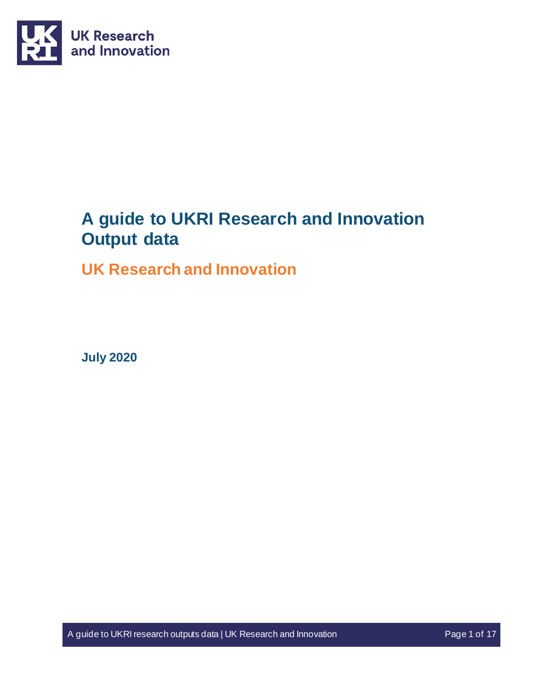

# **A guide to UKRI Research and Innovation Output data**

# **UK Research and Innovation**

**July 2020** 

A guide to UKRI research outputs data | UK Research and Innovation Page 1 of 17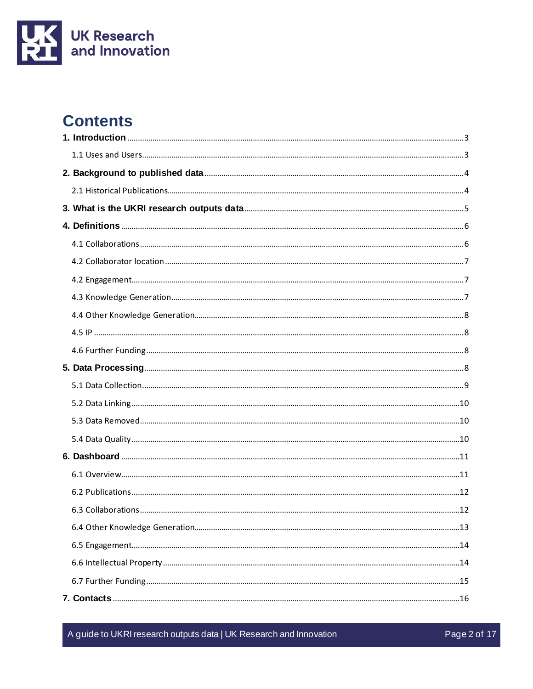

# **Contents**

A guide to UKRI research outputs data | UK Research and Innovation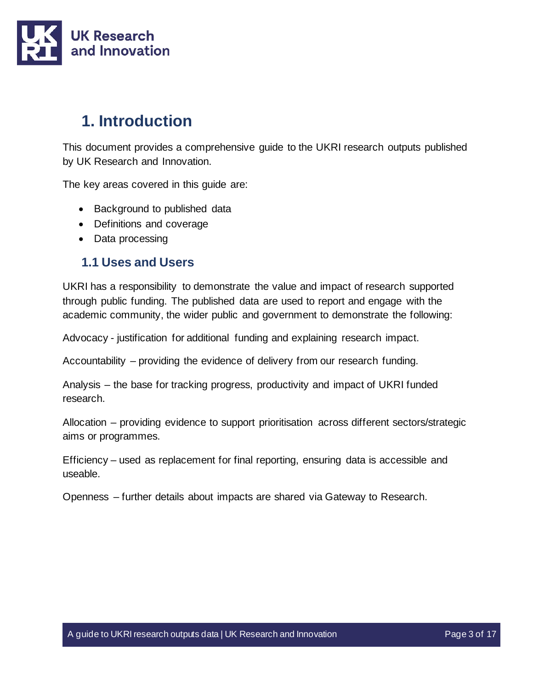

# <span id="page-2-0"></span>**1. Introduction**

This document provides a comprehensive guide to the UKRI research outputs published by UK Research and Innovation.

The key areas covered in this guide are:

- Background to published data
- Definitions and coverage
- Data processing

### <span id="page-2-1"></span>**1.1 Uses and Users**

UKRI has a responsibility to demonstrate the value and impact of research supported through public funding. The published data are used to report and engage with the academic community, the wider public and government to demonstrate the following:

Advocacy - justification for additional funding and explaining research impact.

Accountability – providing the evidence of delivery from our research funding.

Analysis – the base for tracking progress, productivity and impact of UKRI funded research.

Allocation – providing evidence to support prioritisation across different sectors/strategic aims or programmes.

Efficiency – used as replacement for final reporting, ensuring data is accessible and useable.

Openness – further details about impacts are shared via Gateway to Research.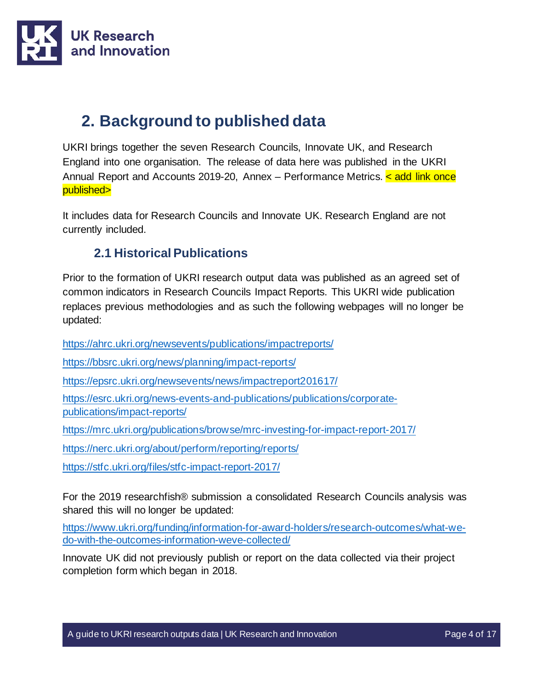

# <span id="page-3-0"></span>**2. Background to published data**

UKRI brings together the seven Research Councils, Innovate UK, and Research England into one organisation. The release of data here was published in the UKRI Annual Report and Accounts 2019-20, Annex – Performance Metrics. < add link once published>

It includes data for Research Councils and Innovate UK. Research England are not currently included.

### **2.1 Historical Publications**

<span id="page-3-1"></span>Prior to the formation of UKRI research output data was published as an agreed set of common indicators in Research Councils Impact Reports. This UKRI wide publication replaces previous methodologies and as such the following webpages will no longer be updated:

<https://ahrc.ukri.org/newsevents/publications/impactreports/>

<https://bbsrc.ukri.org/news/planning/impact-reports/>

<https://epsrc.ukri.org/newsevents/news/impactreport201617/>

[https://esrc.ukri.org/news-events-and-publications/publications/corporate](https://esrc.ukri.org/news-events-and-publications/publications/corporate-publications/impact-reports/)[publications/impact-reports/](https://esrc.ukri.org/news-events-and-publications/publications/corporate-publications/impact-reports/)

<https://mrc.ukri.org/publications/browse/mrc-investing-for-impact-report-2017/>

<https://nerc.ukri.org/about/perform/reporting/reports/>

<https://stfc.ukri.org/files/stfc-impact-report-2017/>

For the 2019 researchfish® submission a consolidated Research Councils analysis was shared this will no longer be updated:

[https://www.ukri.org/funding/information-for-award-holders/research-outcomes/what-we](https://www.ukri.org/funding/information-for-award-holders/research-outcomes/what-we-do-with-the-outcomes-information-weve-collected/)[do-with-the-outcomes-information-weve-collected/](https://www.ukri.org/funding/information-for-award-holders/research-outcomes/what-we-do-with-the-outcomes-information-weve-collected/)

Innovate UK did not previously publish or report on the data collected via their project completion form which began in 2018.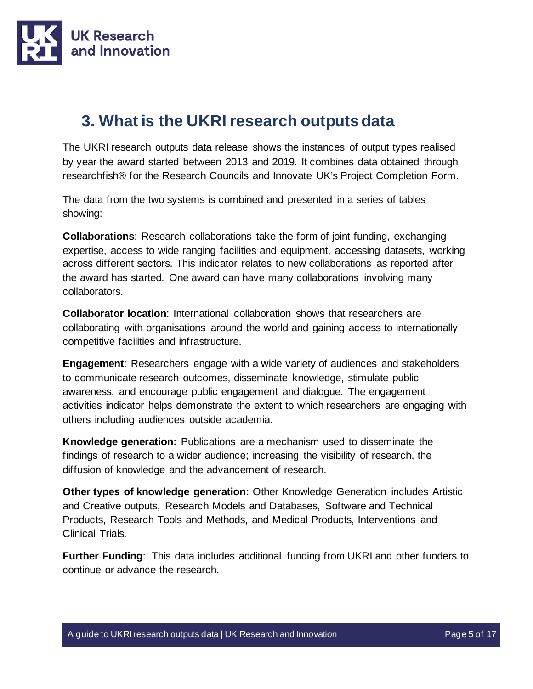

# <span id="page-4-0"></span>**3. What is the UKRI research outputs data**

The UKRI research outputs data release shows the instances of output types realised by year the award started between 2013 and 2019. It combines data obtained through researchfish® for the Research Councils and Innovate UK's Project Completion Form.

The data from the two systems is combined and presented in a series of tables showing:

**Collaborations**: Research collaborations take the form of joint funding, exchanging expertise, access to wide ranging facilities and equipment, accessing datasets, working across different sectors. This indicator relates to new collaborations as reported after the award has started. One award can have many collaborations involving many collaborators.

**Collaborator location**: International collaboration shows that researchers are collaborating with organisations around the world and gaining access to internationally competitive facilities and infrastructure.

**Engagement**: Researchers engage with a wide variety of audiences and stakeholders to communicate research outcomes, disseminate knowledge, stimulate public awareness, and encourage public engagement and dialogue. The engagement activities indicator helps demonstrate the extent to which researchers are engaging with others including audiences outside academia.

**Knowledge generation:** Publications are a mechanism used to disseminate the findings of research to a wider audience; increasing the visibility of research, the diffusion of knowledge and the advancement of research.

**Other types of knowledge generation:** Other Knowledge Generation includes Artistic and Creative outputs, Research Models and Databases, Software and Technical Products, Research Tools and Methods, and Medical Products, Interventions and Clinical Trials.

**Further Funding**: This data includes additional funding from UKRI and other funders to continue or advance the research.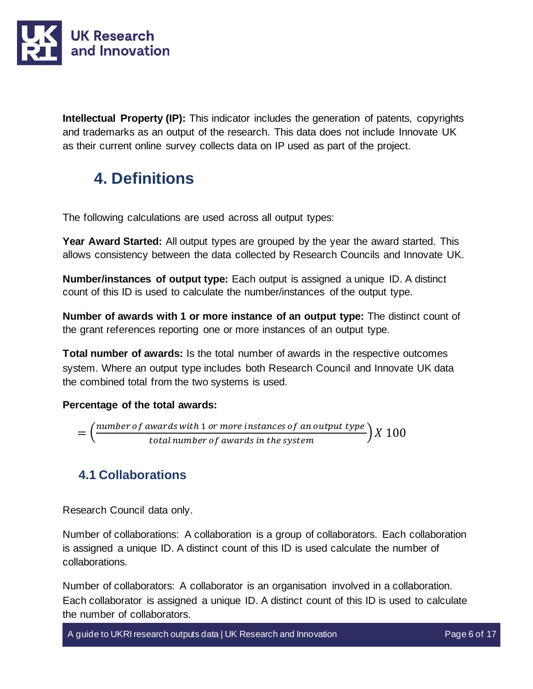

**Intellectual Property (IP):** This indicator includes the generation of patents, copyrights and trademarks as an output of the research. This data does not include Innovate UK as their current online survey collects data on IP used as part of the project.

# <span id="page-5-0"></span>**4. Definitions**

The following calculations are used across all output types:

**Year Award Started:** All output types are grouped by the year the award started. This allows consistency between the data collected by Research Councils and Innovate UK.

**Number/instances of output type:** Each output is assigned a unique ID. A distinct count of this ID is used to calculate the number/instances of the output type.

**Number of awards with 1 or more instance of an output type:** The distinct count of the grant references reporting one or more instances of an output type.

**Total number of awards:** Is the total number of awards in the respective outcomes system. Where an output type includes both Research Council and Innovate UK data the combined total from the two systems is used.

#### **Percentage of the total awards:**

$$
= \left(\frac{number\ of\ awards\ with\ 1\ or\ more\ instances\ of\ an\ output\ type}{total\ number\ of\ awards\ in\ the\ system}\right)X\ 100
$$

### <span id="page-5-1"></span>**4.1 Collaborations**

Research Council data only.

Number of collaborations: A collaboration is a group of collaborators. Each collaboration is assigned a unique ID. A distinct count of this ID is used calculate the number of collaborations.

Number of collaborators: A collaborator is an organisation involved in a collaboration. Each collaborator is assigned a unique ID. A distinct count of this ID is used to calculate the number of collaborators.

A guide to UKRI research outputs data | UK Research and Innovation Page 6 of 17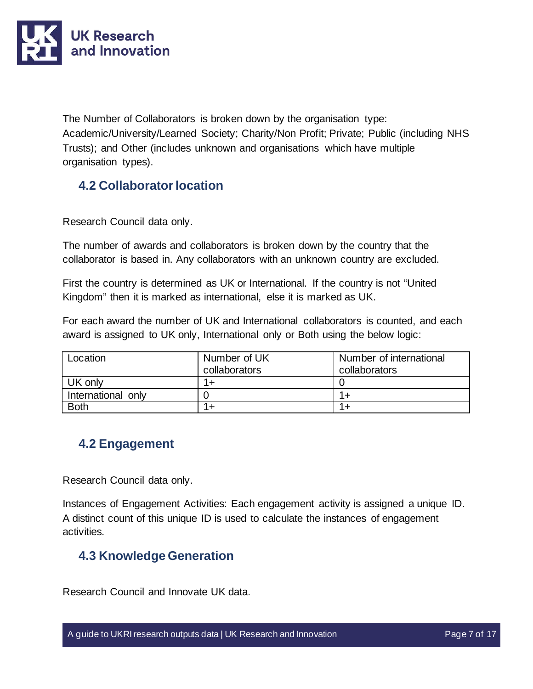

The Number of Collaborators is broken down by the organisation type: Academic/University/Learned Society; Charity/Non Profit; Private; Public (including NHS Trusts); and Other (includes unknown and organisations which have multiple organisation types).

## <span id="page-6-0"></span>**4.2 Collaborator location**

Research Council data only.

The number of awards and collaborators is broken down by the country that the collaborator is based in. Any collaborators with an unknown country are excluded.

First the country is determined as UK or International. If the country is not "United Kingdom" then it is marked as international, else it is marked as UK.

For each award the number of UK and International collaborators is counted, and each award is assigned to UK only, International only or Both using the below logic:

| Location           | Number of UK<br>collaborators | Number of international<br>collaborators |
|--------------------|-------------------------------|------------------------------------------|
| UK only            | $1+$                          |                                          |
| International only |                               |                                          |
| <b>Both</b>        |                               |                                          |

### <span id="page-6-1"></span>**4.2 Engagement**

Research Council data only.

Instances of Engagement Activities: Each engagement activity is assigned a unique ID. A distinct count of this unique ID is used to calculate the instances of engagement activities.

### <span id="page-6-2"></span>**4.3 Knowledge Generation**

Research Council and Innovate UK data.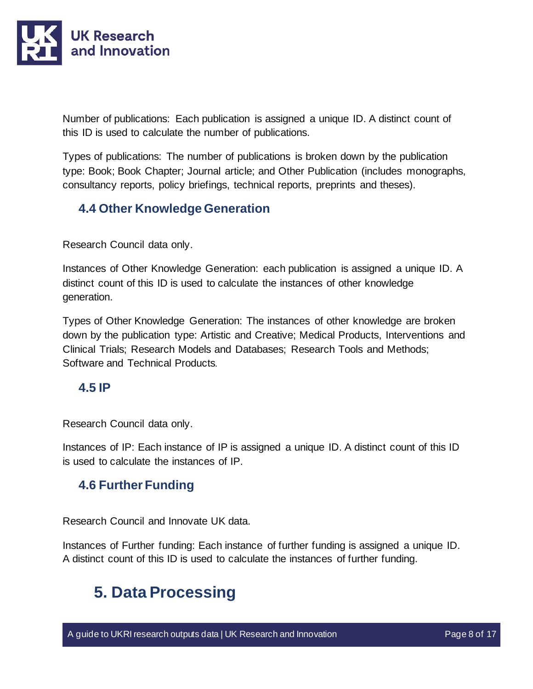

Number of publications: Each publication is assigned a unique ID. A distinct count of this ID is used to calculate the number of publications.

Types of publications: The number of publications is broken down by the publication type: Book; Book Chapter; Journal article; and Other Publication (includes monographs, consultancy reports, policy briefings, technical reports, preprints and theses).

### <span id="page-7-0"></span>**4.4 Other Knowledge Generation**

Research Council data only.

Instances of Other Knowledge Generation: each publication is assigned a unique ID. A distinct count of this ID is used to calculate the instances of other knowledge generation.

Types of Other Knowledge Generation: The instances of other knowledge are broken down by the publication type: Artistic and Creative; Medical Products, Interventions and Clinical Trials; Research Models and Databases; Research Tools and Methods; Software and Technical Products.

### <span id="page-7-1"></span>**4.5 IP**

Research Council data only.

Instances of IP: Each instance of IP is assigned a unique ID. A distinct count of this ID is used to calculate the instances of IP.

### <span id="page-7-2"></span>**4.6 Further Funding**

Research Council and Innovate UK data.

Instances of Further funding: Each instance of further funding is assigned a unique ID. A distinct count of this ID is used to calculate the instances of further funding.

# <span id="page-7-3"></span>**5. Data Processing**

A guide to UKRI research outputs data | UK Research and Innovation Page 8 of 17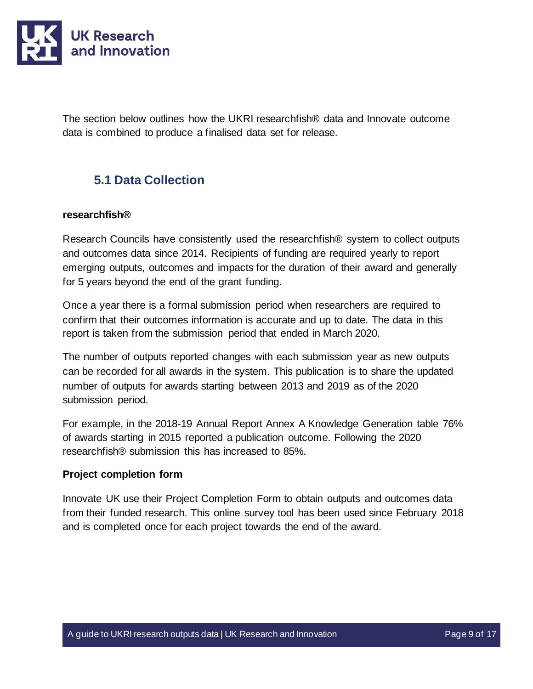

The section below outlines how the UKRI researchfish® data and Innovate outcome data is combined to produce a finalised data set for release.

## <span id="page-8-0"></span>**5.1 Data Collection**

#### **researchfish®**

Research Councils have consistently used the researchfish® system to collect outputs and outcomes data since 2014. Recipients of funding are required yearly to report emerging outputs, outcomes and impacts for the duration of their award and generally for 5 years beyond the end of the grant funding.

Once a year there is a formal submission period when researchers are required to confirm that their outcomes information is accurate and up to date. The data in this report is taken from the submission period that ended in March 2020.

The number of outputs reported changes with each submission year as new outputs can be recorded for all awards in the system. This publication is to share the updated number of outputs for awards starting between 2013 and 2019 as of the 2020 submission period.

For example, in the 2018-19 Annual Report Annex A Knowledge Generation table 76% of awards starting in 2015 reported a publication outcome. Following the 2020 researchfish® submission this has increased to 85%.

#### **Project completion form**

Innovate UK use their Project Completion Form to obtain outputs and outcomes data from their funded research. This online survey tool has been used since February 2018 and is completed once for each project towards the end of the award.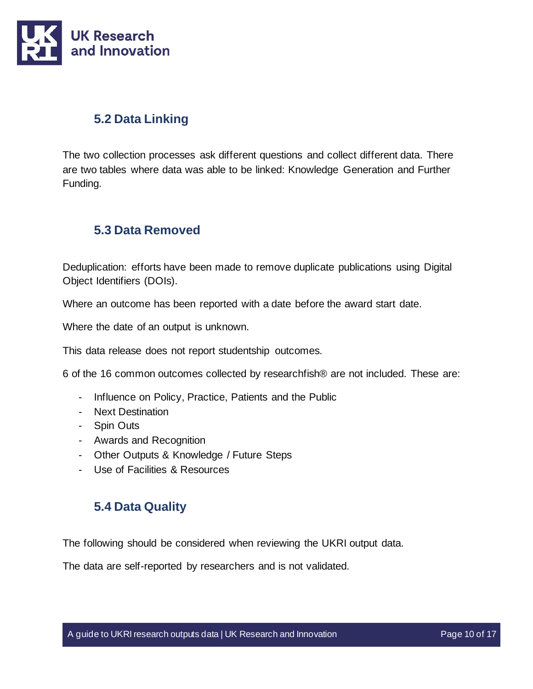

### <span id="page-9-0"></span>**5.2 Data Linking**

The two collection processes ask different questions and collect different data. There are two tables where data was able to be linked: Knowledge Generation and Further Funding.

### <span id="page-9-1"></span>**5.3 Data Removed**

Deduplication: efforts have been made to remove duplicate publications using Digital Object Identifiers (DOIs).

Where an outcome has been reported with a date before the award start date.

Where the date of an output is unknown.

This data release does not report studentship outcomes.

6 of the 16 common outcomes collected by researchfish® are not included. These are:

- Influence on Policy, Practice, Patients and the Public
- Next Destination
- Spin Outs
- Awards and Recognition
- Other Outputs & Knowledge / Future Steps
- Use of Facilities & Resources

#### <span id="page-9-2"></span>**5.4 Data Quality**

The following should be considered when reviewing the UKRI output data.

The data are self-reported by researchers and is not validated.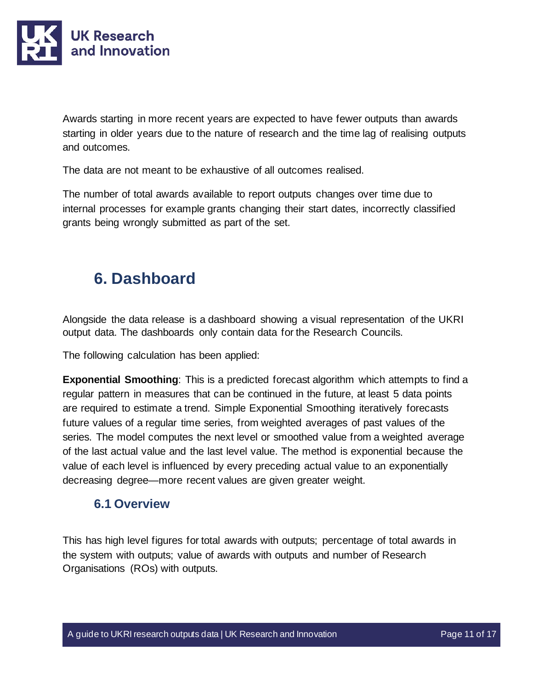

Awards starting in more recent years are expected to have fewer outputs than awards starting in older years due to the nature of research and the time lag of realising outputs and outcomes.

The data are not meant to be exhaustive of all outcomes realised.

The number of total awards available to report outputs changes over time due to internal processes for example grants changing their start dates, incorrectly classified grants being wrongly submitted as part of the set.

# <span id="page-10-0"></span>**6. Dashboard**

Alongside the data release is a dashboard showing a visual representation of the UKRI output data. The dashboards only contain data for the Research Councils.

The following calculation has been applied:

**Exponential Smoothing**: This is a predicted forecast algorithm which attempts to find a regular pattern in measures that can be continued in the future, at least 5 data points are required to estimate a trend. Simple Exponential Smoothing iteratively forecasts future values of a regular time series, from weighted averages of past values of the series. The model computes the next level or smoothed value from a weighted average of the last actual value and the last level value. The method is exponential because the value of each level is influenced by every preceding actual value to an exponentially decreasing degree—more recent values are given greater weight.

#### <span id="page-10-1"></span>**6.1 Overview**

This has high level figures for total awards with outputs; percentage of total awards in the system with outputs; value of awards with outputs and number of Research Organisations (ROs) with outputs.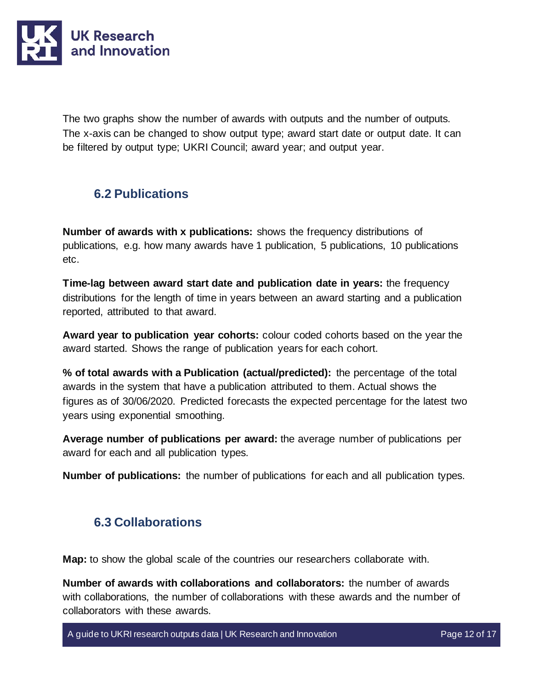

The two graphs show the number of awards with outputs and the number of outputs. The x-axis can be changed to show output type; award start date or output date. It can be filtered by output type; UKRI Council; award year; and output year.

### <span id="page-11-0"></span>**6.2 Publications**

**Number of awards with x publications:** shows the frequency distributions of publications, e.g. how many awards have 1 publication, 5 publications, 10 publications etc.

**Time-lag between award start date and publication date in years:** the frequency distributions for the length of time in years between an award starting and a publication reported, attributed to that award.

**Award year to publication year cohorts:** colour coded cohorts based on the year the award started. Shows the range of publication years for each cohort.

**% of total awards with a Publication (actual/predicted):** the percentage of the total awards in the system that have a publication attributed to them. Actual shows the figures as of 30/06/2020. Predicted forecasts the expected percentage for the latest two years using exponential smoothing.

**Average number of publications per award:** the average number of publications per award for each and all publication types.

**Number of publications:** the number of publications for each and all publication types.

### <span id="page-11-1"></span>**6.3 Collaborations**

**Map:** to show the global scale of the countries our researchers collaborate with.

**Number of awards with collaborations and collaborators:** the number of awards with collaborations, the number of collaborations with these awards and the number of collaborators with these awards.

A guide to UKRI research outputs data | UK Research and Innovation Page 12 of 17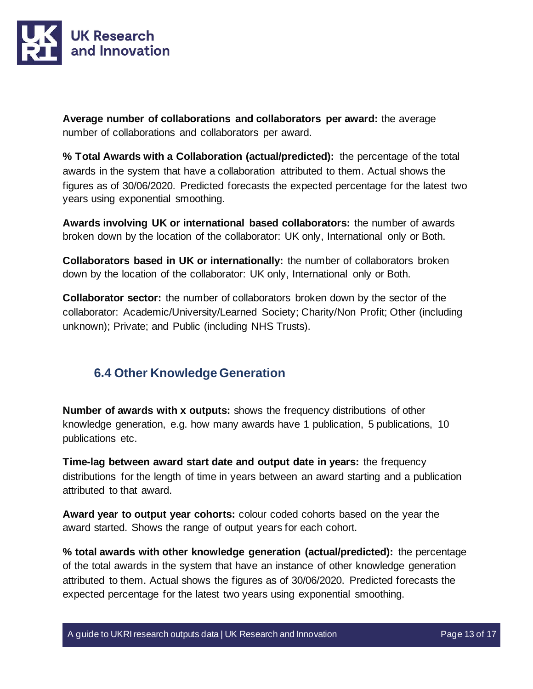

**Average number of collaborations and collaborators per award:** the average number of collaborations and collaborators per award.

**% Total Awards with a Collaboration (actual/predicted):** the percentage of the total awards in the system that have a collaboration attributed to them. Actual shows the figures as of 30/06/2020. Predicted forecasts the expected percentage for the latest two years using exponential smoothing.

**Awards involving UK or international based collaborators:** the number of awards broken down by the location of the collaborator: UK only, International only or Both.

**Collaborators based in UK or internationally:** the number of collaborators broken down by the location of the collaborator: UK only, International only or Both.

**Collaborator sector:** the number of collaborators broken down by the sector of the collaborator: Academic/University/Learned Society; Charity/Non Profit; Other (including unknown); Private; and Public (including NHS Trusts).

### <span id="page-12-0"></span>**6.4 Other Knowledge Generation**

**Number of awards with x outputs:** shows the frequency distributions of other knowledge generation, e.g. how many awards have 1 publication, 5 publications, 10 publications etc.

**Time-lag between award start date and output date in years:** the frequency distributions for the length of time in years between an award starting and a publication attributed to that award.

**Award year to output year cohorts:** colour coded cohorts based on the year the award started. Shows the range of output years for each cohort.

**% total awards with other knowledge generation (actual/predicted):** the percentage of the total awards in the system that have an instance of other knowledge generation attributed to them. Actual shows the figures as of 30/06/2020. Predicted forecasts the expected percentage for the latest two years using exponential smoothing.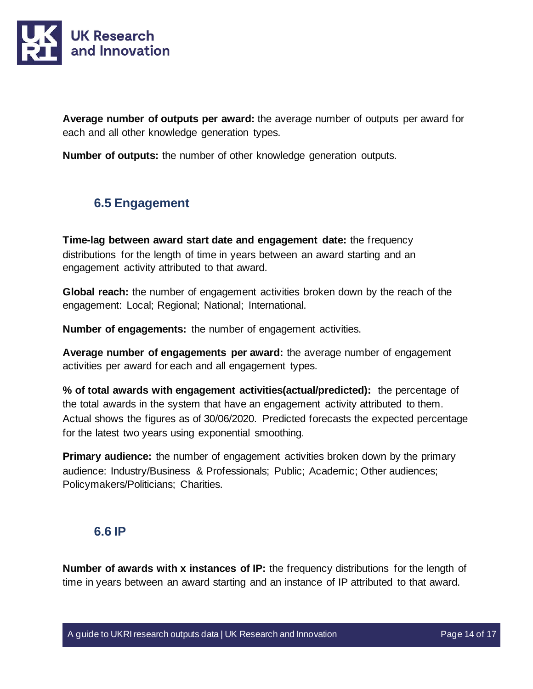

**Average number of outputs per award:** the average number of outputs per award for each and all other knowledge generation types.

**Number of outputs:** the number of other knowledge generation outputs.

### <span id="page-13-0"></span>**6.5 Engagement**

**Time-lag between award start date and engagement date:** the frequency distributions for the length of time in years between an award starting and an engagement activity attributed to that award.

**Global reach:** the number of engagement activities broken down by the reach of the engagement: Local; Regional; National; International.

**Number of engagements:** the number of engagement activities.

**Average number of engagements per award:** the average number of engagement activities per award for each and all engagement types.

**% of total awards with engagement activities(actual/predicted):** the percentage of the total awards in the system that have an engagement activity attributed to them. Actual shows the figures as of 30/06/2020. Predicted forecasts the expected percentage for the latest two years using exponential smoothing.

**Primary audience:** the number of engagement activities broken down by the primary audience: Industry/Business & Professionals; Public; Academic; Other audiences; Policymakers/Politicians; Charities.

#### <span id="page-13-1"></span>**6.6 IP**

**Number of awards with x instances of IP:** the frequency distributions for the length of time in years between an award starting and an instance of IP attributed to that award.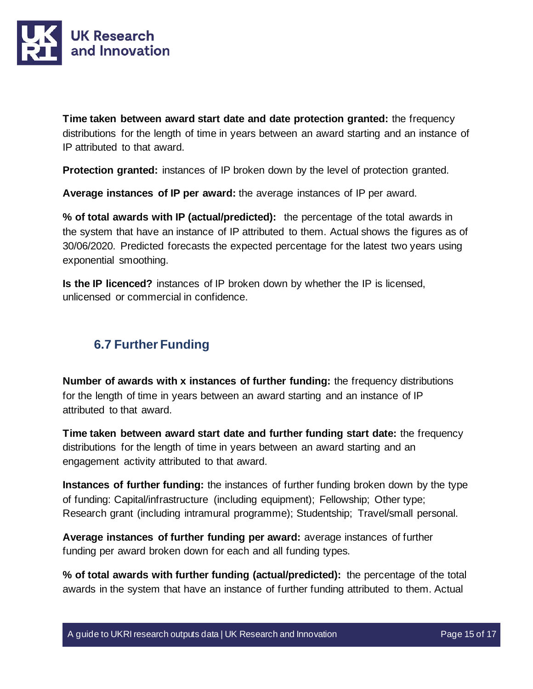

**Time taken between award start date and date protection granted:** the frequency distributions for the length of time in years between an award starting and an instance of IP attributed to that award.

**Protection granted:** instances of IP broken down by the level of protection granted.

**Average instances of IP per award:** the average instances of IP per award.

**% of total awards with IP (actual/predicted):** the percentage of the total awards in the system that have an instance of IP attributed to them. Actual shows the figures as of 30/06/2020. Predicted forecasts the expected percentage for the latest two years using exponential smoothing.

**Is the IP licenced?** instances of IP broken down by whether the IP is licensed, unlicensed or commercial in confidence.

### <span id="page-14-0"></span>**6.7 Further Funding**

**Number of awards with x instances of further funding:** the frequency distributions for the length of time in years between an award starting and an instance of IP attributed to that award.

**Time taken between award start date and further funding start date:** the frequency distributions for the length of time in years between an award starting and an engagement activity attributed to that award.

**Instances of further funding:** the instances of further funding broken down by the type of funding: Capital/infrastructure (including equipment); Fellowship; Other type; Research grant (including intramural programme); Studentship; Travel/small personal.

**Average instances of further funding per award:** average instances of further funding per award broken down for each and all funding types.

**% of total awards with further funding (actual/predicted):** the percentage of the total awards in the system that have an instance of further funding attributed to them. Actual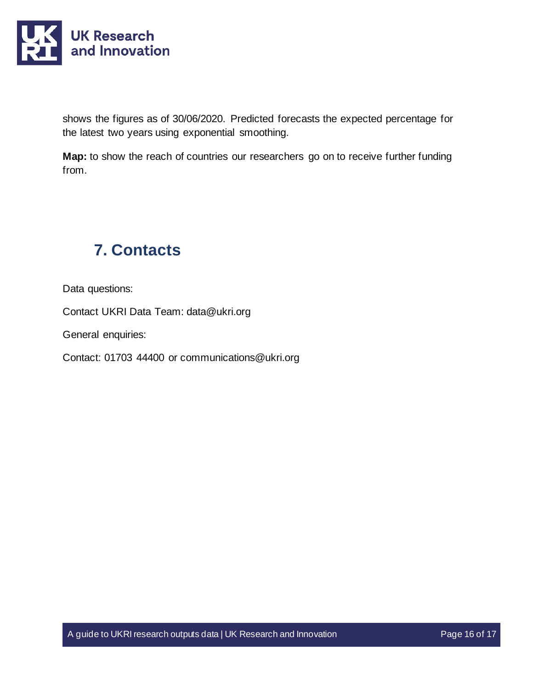

shows the figures as of 30/06/2020. Predicted forecasts the expected percentage for the latest two years using exponential smoothing.

**Map:** to show the reach of countries our researchers go on to receive further funding from.

# <span id="page-15-0"></span>**7. Contacts**

Data questions:

Contact UKRI Data Team: [data@ukri.org](mailto:data@ukri.org)

General enquiries:

Contact: 01703 44400 or communications@ukri.org